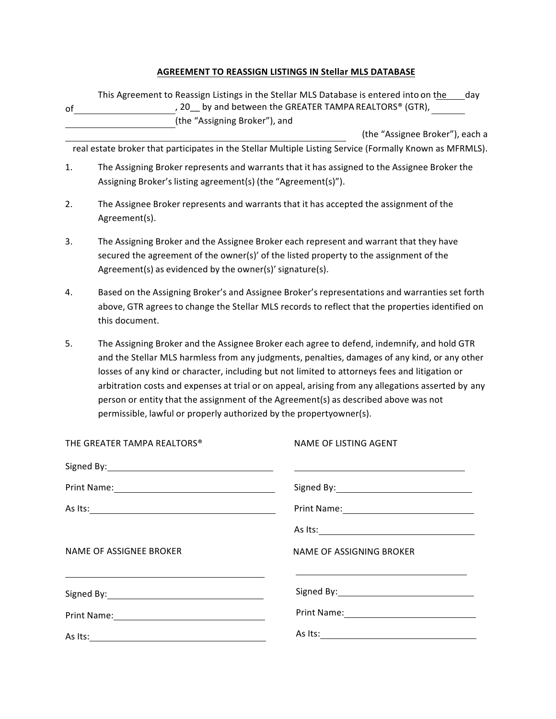## **AGREEMENT TO REASSIGN LISTINGS IN Stellar MLS DATABASE**

| of                                                                                                                                                                                                                            | (the "Assigning Broker"), and                                                                                                                                                                                                                                                                                                                                                                                                                                                                                                                                     | This Agreement to Reassign Listings in the Stellar MLS Database is entered into on the<br>day<br>, 20 <sub>__</sub> by and between the GREATER TAMPA REALTORS® (GTR),                              |
|-------------------------------------------------------------------------------------------------------------------------------------------------------------------------------------------------------------------------------|-------------------------------------------------------------------------------------------------------------------------------------------------------------------------------------------------------------------------------------------------------------------------------------------------------------------------------------------------------------------------------------------------------------------------------------------------------------------------------------------------------------------------------------------------------------------|----------------------------------------------------------------------------------------------------------------------------------------------------------------------------------------------------|
|                                                                                                                                                                                                                               |                                                                                                                                                                                                                                                                                                                                                                                                                                                                                                                                                                   | (the "Assignee Broker"), each a                                                                                                                                                                    |
|                                                                                                                                                                                                                               |                                                                                                                                                                                                                                                                                                                                                                                                                                                                                                                                                                   | real estate broker that participates in the Stellar Multiple Listing Service (Formally Known as MFRMLS).                                                                                           |
| 1.                                                                                                                                                                                                                            | Assigning Broker's listing agreement(s) (the "Agreement(s)").                                                                                                                                                                                                                                                                                                                                                                                                                                                                                                     | The Assigning Broker represents and warrants that it has assigned to the Assignee Broker the                                                                                                       |
| 2.                                                                                                                                                                                                                            | Agreement(s).                                                                                                                                                                                                                                                                                                                                                                                                                                                                                                                                                     | The Assignee Broker represents and warrants that it has accepted the assignment of the                                                                                                             |
| 3.                                                                                                                                                                                                                            | Agreement(s) as evidenced by the owner(s)' signature(s).                                                                                                                                                                                                                                                                                                                                                                                                                                                                                                          | The Assigning Broker and the Assignee Broker each represent and warrant that they have<br>secured the agreement of the owner(s)' of the listed property to the assignment of the                   |
| 4.                                                                                                                                                                                                                            | this document.                                                                                                                                                                                                                                                                                                                                                                                                                                                                                                                                                    | Based on the Assigning Broker's and Assignee Broker's representations and warranties set forth<br>above, GTR agrees to change the Stellar MLS records to reflect that the properties identified on |
| 5.                                                                                                                                                                                                                            | The Assigning Broker and the Assignee Broker each agree to defend, indemnify, and hold GTR<br>and the Stellar MLS harmless from any judgments, penalties, damages of any kind, or any other<br>losses of any kind or character, including but not limited to attorneys fees and litigation or<br>arbitration costs and expenses at trial or on appeal, arising from any allegations asserted by any<br>person or entity that the assignment of the Agreement(s) as described above was not<br>permissible, lawful or properly authorized by the propertyowner(s). |                                                                                                                                                                                                    |
|                                                                                                                                                                                                                               | THE GREATER TAMPA REALTORS®                                                                                                                                                                                                                                                                                                                                                                                                                                                                                                                                       | NAME OF LISTING AGENT                                                                                                                                                                              |
|                                                                                                                                                                                                                               |                                                                                                                                                                                                                                                                                                                                                                                                                                                                                                                                                                   |                                                                                                                                                                                                    |
| Signed By:<br>Print Name:                                                                                                                                                                                                     |                                                                                                                                                                                                                                                                                                                                                                                                                                                                                                                                                                   | Signed By:                                                                                                                                                                                         |
|                                                                                                                                                                                                                               |                                                                                                                                                                                                                                                                                                                                                                                                                                                                                                                                                                   |                                                                                                                                                                                                    |
|                                                                                                                                                                                                                               |                                                                                                                                                                                                                                                                                                                                                                                                                                                                                                                                                                   |                                                                                                                                                                                                    |
| <b>NAME OF ASSIGNEE BROKER</b>                                                                                                                                                                                                |                                                                                                                                                                                                                                                                                                                                                                                                                                                                                                                                                                   | NAME OF ASSIGNING BROKER                                                                                                                                                                           |
| the control of the control of the control of the control of the control of the control of the control of the control of the control of the control of the control of the control of the control of the control of the control |                                                                                                                                                                                                                                                                                                                                                                                                                                                                                                                                                                   |                                                                                                                                                                                                    |
|                                                                                                                                                                                                                               |                                                                                                                                                                                                                                                                                                                                                                                                                                                                                                                                                                   |                                                                                                                                                                                                    |
|                                                                                                                                                                                                                               |                                                                                                                                                                                                                                                                                                                                                                                                                                                                                                                                                                   | As Its: $\overline{\phantom{a}}$                                                                                                                                                                   |